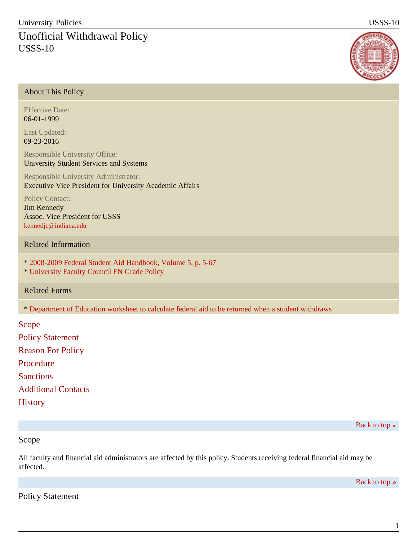# Unofficial Withdrawal Policy USSS-10



## About This Policy

Effective Date: 06-01-1999

Last Updated: 09-23-2016

Responsible University Office: University Student Services and Systems

Responsible University Administrator: Executive Vice President for University Academic Affairs

Policy Contact: Jim Kennedy Assoc. Vice President for USSS [kennedjc@indiana.edu](mailto:kennedjc@indiana.edu)

## Related Information

- \* [2008-2009 Federal Student Aid Handbook, Volume 5, p. 5-67](http://ifap.ed.gov/sfahandbooks/attachments/0809Vol5MastertoProof.pdf)
- \* [University Faculty Council FN Grade Policy](http://www.indiana.edu/~bfc/docs/policies/FNgradePolicy.pdf)

### Related Forms

\* [Department of Education worksheet to calculate federal aid to be returned when a student withdraws](#)

Scope Policy Statement Reason For Policy Procedure **Sanctions** Additional Contacts **History** 

Back to top  $\approx$ 

### Scope

All faculty and financial aid administrators are affected by this policy. Students receiving federal financial aid may be affected.

Back to top  $\approx$ 

Policy Statement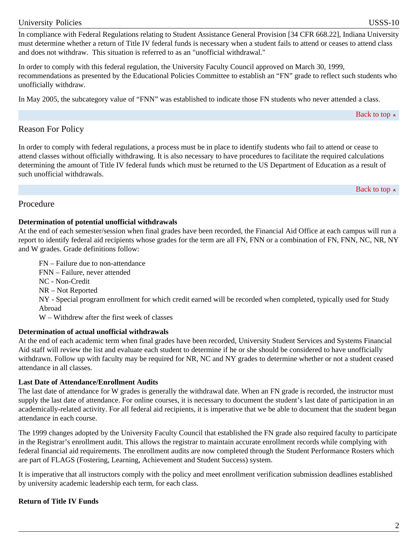#### University Policies USSS-10

In compliance with Federal Regulations relating to Student Assistance General Provision [34 CFR 668.22], Indiana University must determine whether a return of Title IV federal funds is necessary when a student fails to attend or ceases to attend class and does not withdraw. This situation is referred to as an "unofficial withdrawal."

In order to comply with this federal regulation, the University Faculty Council approved on March 30, 1999, recommendations as presented by the Educational Policies Committee to establish an "FN" grade to reflect such students who unofficially withdraw.

In May 2005, the subcategory value of "FNN" was established to indicate those FN students who never attended a class.

Back to top  $\approx$ 

Back to top  $\approx$ 

## Reason For Policy

In order to comply with federal regulations, a process must be in place to identify students who fail to attend or cease to attend classes without officially withdrawing. It is also necessary to have procedures to facilitate the required calculations determining the amount of Title IV federal funds which must be returned to the US Department of Education as a result of such unofficial withdrawals.

Procedure

#### **Determination of potential unofficial withdrawals**

At the end of each semester/session when final grades have been recorded, the Financial Aid Office at each campus will run a report to identify federal aid recipients whose grades for the term are all FN, FNN or a combination of FN, FNN, NC, NR, NY and W grades. Grade definitions follow:

FN – Failure due to non-attendance FNN – Failure, never attended NC - Non-Credit NR – Not Reported NY - Special program enrollment for which credit earned will be recorded when completed, typically used for Study Abroad W – Withdrew after the first week of classes

### **Determination of actual unofficial withdrawals**

At the end of each academic term when final grades have been recorded, University Student Services and Systems Financial Aid staff will review the list and evaluate each student to determine if he or she should be considered to have unofficially withdrawn. Follow up with faculty may be required for NR, NC and NY grades to determine whether or not a student ceased attendance in all classes.

### **Last Date of Attendance/Enrollment Audits**

The last date of attendance for W grades is generally the withdrawal date. When an FN grade is recorded, the instructor must supply the last date of attendance. For online courses, it is necessary to document the student's last date of participation in an academically-related activity. For all federal aid recipients, it is imperative that we be able to document that the student began attendance in each course.

The 1999 changes adopted by the University Faculty Council that established the FN grade also required faculty to participate in the Registrar's enrollment audit. This allows the registrar to maintain accurate enrollment records while complying with federal financial aid requirements. The enrollment audits are now completed through the Student Performance Rosters which are part of FLAGS (Fostering, Learning, Achievement and Student Success) system.

It is imperative that all instructors comply with the policy and meet enrollment verification submission deadlines established by university academic leadership each term, for each class.

### **Return of Title IV Funds**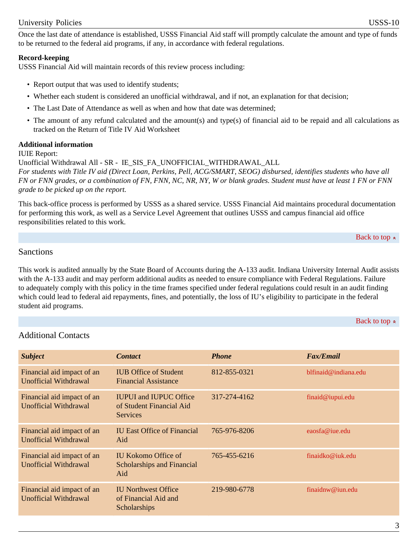Once the last date of attendance is established, USSS Financial Aid staff will promptly calculate the amount and type of funds to be returned to the federal aid programs, if any, in accordance with federal regulations.

#### **Record-keeping**

USSS Financial Aid will maintain records of this review process including:

- Report output that was used to identify students;
- Whether each student is considered an unofficial withdrawal, and if not, an explanation for that decision;
- The Last Date of Attendance as well as when and how that date was determined;
- The amount of any refund calculated and the amount(s) and type(s) of financial aid to be repaid and all calculations as tracked on the Return of Title IV Aid Worksheet

#### **Additional information**

#### IUIE Report:

Unofficial Withdrawal All - SR - IE\_SIS\_FA\_UNOFFICIAL\_WITHDRAWAL\_ALL *For students with Title IV aid (Direct Loan, Perkins, Pell, ACG/SMART, SEOG) disbursed, identifies students who have all FN or FNN grades, or a combination of FN, FNN, NC, NR, NY, W or blank grades. Student must have at least 1 FN or FNN grade to be picked up on the report.*

This back-office process is performed by USSS as a shared service. USSS Financial Aid maintains procedural documentation for performing this work, as well as a Service Level Agreement that outlines USSS and campus financial aid office responsibilities related to this work.

```
Back to top \approx
```
#### Sanctions

This work is audited annually by the State Board of Accounts during the A-133 audit. Indiana University Internal Audit assists with the A-133 audit and may perform additional audits as needed to ensure compliance with Federal Regulations. Failure to adequately comply with this policy in the time frames specified under federal regulations could result in an audit finding which could lead to federal aid repayments, fines, and potentially, the loss of IU's eligibility to participate in the federal student aid programs.

Back to top  $\approx$ 

## Additional Contacts

| <b>Subject</b>                                             | <b>Contact</b>                                                                      | <b>Phone</b> | <b>Fax/Email</b>     |
|------------------------------------------------------------|-------------------------------------------------------------------------------------|--------------|----------------------|
| Financial aid impact of an<br><b>Unofficial Withdrawal</b> | <b>IUB Office of Student</b><br><b>Financial Assistance</b>                         | 812-855-0321 | blfinaid@indiana.edu |
| Financial aid impact of an<br>Unofficial Withdrawal        | <b>IUPUI</b> and <b>IUPUC</b> Office<br>of Student Financial Aid<br><b>Services</b> | 317-274-4162 | final@iupui.edu      |
| Financial aid impact of an<br><b>Unofficial Withdrawal</b> | <b>IU East Office of Financial</b><br>Aid                                           | 765-976-8206 | eaosfa@iue.edu       |
| Financial aid impact of an<br><b>Unofficial Withdrawal</b> | IU Kokomo Office of<br>Scholarships and Financial<br>Aid                            | 765-455-6216 | finaidko@iuk.edu     |
| Financial aid impact of an<br>Unofficial Withdrawal        | <b>IU Northwest Office</b><br>of Financial Aid and<br>Scholarships                  | 219-980-6778 | finaidnw@iun.edu     |